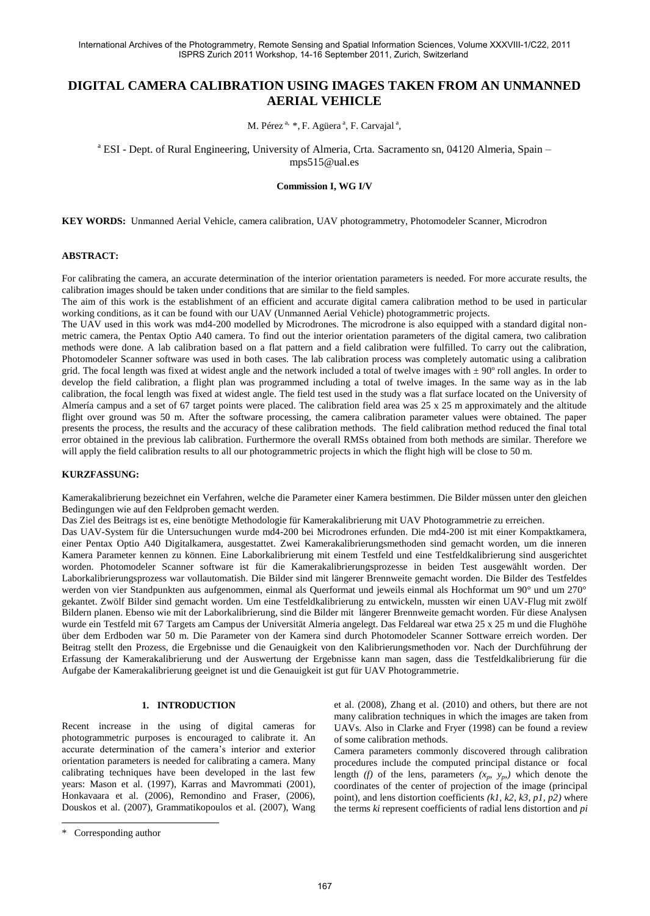# **DIGITAL CAMERA CALIBRATION USING IMAGES TAKEN FROM AN UNMANNED AERIAL VEHICLE**

M. Pérez<sup>a, \*</sup>, F. Agüera<sup>a</sup>, F. Carvajal<sup>a</sup>,

<sup>a</sup> ESI - Dept. of Rural Engineering, University of Almeria, Crta. Sacramento sn, 04120 Almeria, Spain mps515@ual.es

**Commission I, WG I/V** 

**KEY WORDS:** Unmanned Aerial Vehicle, camera calibration, UAV photogrammetry, Photomodeler Scanner, Microdron

#### **ABSTRACT:**

For calibrating the camera, an accurate determination of the interior orientation parameters is needed. For more accurate results, the calibration images should be taken under conditions that are similar to the field samples.

The aim of this work is the establishment of an efficient and accurate digital camera calibration method to be used in particular working conditions, as it can be found with our UAV (Unmanned Aerial Vehicle) photogrammetric projects.

The UAV used in this work was md4-200 modelled by Microdrones. The microdrone is also equipped with a standard digital nonmetric camera, the Pentax Optio A40 camera. To find out the interior orientation parameters of the digital camera, two calibration methods were done. A lab calibration based on a flat pattern and a field calibration were fulfilled. To carry out the calibration, Photomodeler Scanner software was used in both cases. The lab calibration process was completely automatic using a calibration grid. The focal length was fixed at widest angle and the network included a total of twelve images with  $\pm$  90° roll angles. In order to develop the field calibration, a flight plan was programmed including a total of twelve images. In the same way as in the lab calibration, the focal length was fixed at widest angle. The field test used in the study was a flat surface located on the University of Almería campus and a set of 67 target points were placed. The calibration field area was 25 x 25 m approximately and the altitude flight over ground was 50 m. After the software processing, the camera calibration parameter values were obtained. The paper presents the process, the results and the accuracy of these calibration methods. The field calibration method reduced the final total error obtained in the previous lab calibration. Furthermore the overall RMSs obtained from both methods are similar. Therefore we will apply the field calibration results to all our photogrammetric projects in which the flight high will be close to 50 m.

### **KURZFASSUNG:**

Kamerakalibrierung bezeichnet ein Verfahren, welche die Parameter einer Kamera bestimmen. Die Bilder müssen unter den gleichen Bedingungen wie auf den Feldproben gemacht werden.

Das Ziel des Beitrags ist es, eine benötigte Methodologie für Kamerakalibrierung mit UAV Photogrammetrie zu erreichen.

Das UAV-System für die Untersuchungen wurde md4-200 bei Microdrones erfunden. Die md4-200 ist mit einer Kompaktkamera, einer Pentax Optio A40 Digitalkamera, ausgestattet. Zwei Kamerakalibrierungsmethoden sind gemacht worden, um die inneren Kamera Parameter kennen zu können. Eine Laborkalibrierung mit einem Testfeld und eine Testfeldkalibrierung sind ausgerichtet worden. Photomodeler Scanner software ist für die Kamerakalibrierungsprozesse in beiden Test ausgewählt worden. Der Laborkalibrierungsprozess war vollautomatish. Die Bilder sind mit längerer Brennweite gemacht worden. Die Bilder des Testfeldes werden von vier Standpunkten aus aufgenommen, einmal als Querformat und jeweils einmal als Hochformat um 90° und um 270° gekantet. Zwölf Bilder sind gemacht worden. Um eine Testfeldkalibrierung zu entwickeln, mussten wir einen UAV-Flug mit zwölf Bildern planen. Ebenso wie mit der Laborkalibrierung, sind die Bilder mit längerer Brennweite gemacht worden. Für diese Analysen wurde ein Testfeld mit 67 Targets am Campus der Universität Almeria angelegt. Das Feldareal war etwa 25 x 25 m und die Flughöhe über dem Erdboden war 50 m. Die Parameter von der Kamera sind durch Photomodeler Scanner Sottware erreich worden. Der Beitrag stellt den Prozess, die Ergebnisse und die Genauigkeit von den Kalibrierungsmethoden vor. Nach der Durchführung der Erfassung der Kamerakalibrierung und der Auswertung der Ergebnisse kann man sagen, dass die Testfeldkalibrierung für die Aufgabe der Kamerakalibrierung geeignet ist und die Genauigkeit ist gut für UAV Photogrammetrie.

#### 1. **INTRODUCTION**

Recent increase in the using of digital cameras for photogrammetric purposes is encouraged to calibrate it. An accurate determination of the camera's interior and exterior orientation parameters is needed for calibrating a camera. Many calibrating techniques have been developed in the last few years: Mason et al. (1997), Karras and Mavrommati (2001), Honkavaara et al. (2006), Remondino and Fraser, (2006), Douskos et al. (2007), Grammatikopoulos et al. (2007), Wang

\* Corresponding author

 $\overline{a}$ 

et al. (2008), Zhang et al. (2010) and others, but there are not many calibration techniques in which the images are taken from UAVs. Also in Clarke and Fryer (1998) can be found a review of some calibration methods.

Camera parameters commonly discovered through calibration procedures include the computed principal distance or focal length *(f)* of the lens, parameters  $(x_p, y_p)$  which denote the coordinates of the center of projection of the image (principal point), and lens distortion coefficients *(k1, k2, k3, p1, p2)* where the terms *ki* represent coefficients of radial lens distortion and *pi*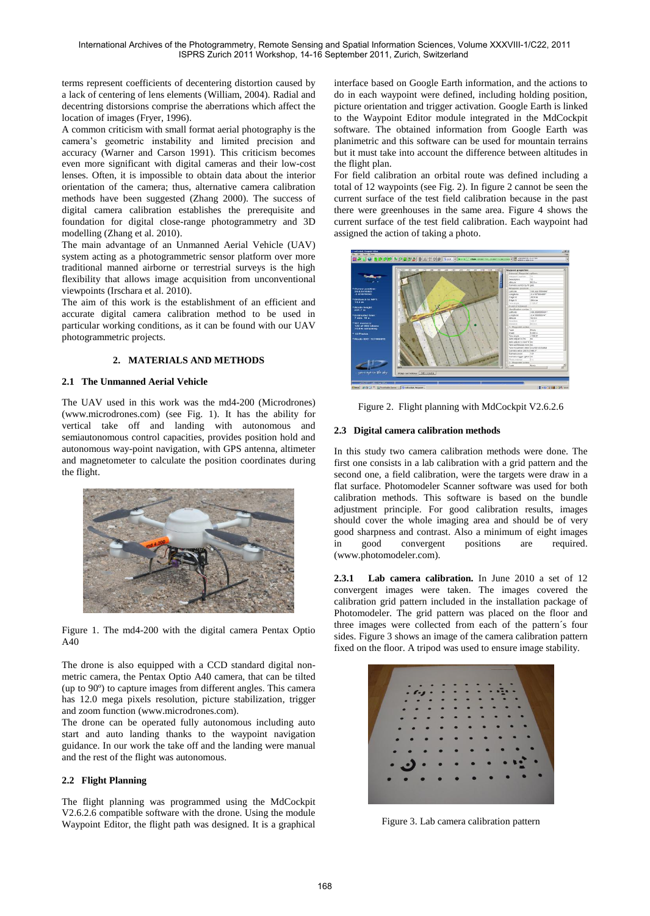International Archives of the Photogrammetry, Remote Sensing and Spatial Information Sciences, Volume XXXVIII-1/C22, 2011 ISPRS Zurich 2011 Workshop, 14-16 September 2011, Zurich, Switzerland

terms represent coefficients of decentering distortion caused by a lack of centering of lens elements (William, 2004). Radial and decentring distorsions comprise the aberrations which affect the location of images (Fryer, 1996).

A common criticism with small format aerial photography is the camera's geometric instability and limited precision and accuracy (Warner and Carson 1991). This criticism becomes even more significant with digital cameras and their low-cost lenses. Often, it is impossible to obtain data about the interior orientation of the camera; thus, alternative camera calibration methods have been suggested (Zhang 2000). The success of digital camera calibration establishes the prerequisite and foundation for digital close-range photogrammetry and 3D modelling (Zhang et al. 2010).

The main advantage of an Unmanned Aerial Vehicle (UAV) system acting as a photogrammetric sensor platform over more traditional manned airborne or terrestrial surveys is the high flexibility that allows image acquisition from unconventional viewpoints (Irschara et al. 2010).

The aim of this work is the establishment of an efficient and accurate digital camera calibration method to be used in particular working conditions, as it can be found with our UAV photogrammetric projects.

# 2. **MATERIALS AND METHODS**

# **2.1** *7B***The Unmanned Aerial Vehicle**

The UAV used in this work was the md4-200 (Microdrones) (www.microdrones.com) (see Fig. 1). It has the ability for vertical take off and landing with autonomous and semiautonomous control capacities, provides position hold and autonomous way-point navigation, with GPS antenna, altimeter and magnetometer to calculate the position coordinates during the flight.



Figure 1. The md4-200 with the digital camera Pentax Optio A40

The drone is also equipped with a CCD standard digital nonmetric camera, the Pentax Optio A40 camera, that can be tilted (up to 90º) to capture images from different angles. This camera has 12.0 mega pixels resolution, picture stabilization, trigger and zoom function (www.microdrones.com).

The drone can be operated fully autonomous including auto start and auto landing thanks to the waypoint navigation guidance. In our work the take off and the landing were manual and the rest of the flight was autonomous.

# **2.2 Flight Planning**

The flight planning was programmed using the MdCockpit V2.6.2.6 compatible software with the drone. Using the module Waypoint Editor, the flight path was designed. It is a graphical interface based on Google Earth information, and the actions to do in each waypoint were defined, including holding position, picture orientation and trigger activation. Google Earth is linked to the Waypoint Editor module integrated in the MdCockpit software. The obtained information from Google Earth was planimetric and this software can be used for mountain terrains but it must take into account the difference between altitudes in the flight plan.

For field calibration an orbital route was defined including a total of 12 waypoints (see Fig. 2). In figure 2 cannot be seen the current surface of the test field calibration because in the past there were greenhouses in the same area. Figure 4 shows the current surface of the test field calibration. Each waypoint had assigned the action of taking a photo.



Figure 2. Flight planning with MdCockpit V2.6.2.6

# **2.3** Digital camera calibration methods

In this study two camera calibration methods were done. The first one consists in a lab calibration with a grid pattern and the second one, a field calibration, were the targets were draw in a flat surface. Photomodeler Scanner software was used for both calibration methods. This software is based on the bundle adjustment principle. For good calibration results, images should cover the whole imaging area and should be of very good sharpness and contrast. Also a minimum of eight images in good convergent positions are required. (www.photomodeler.com).

**2.3.1 Lab camera calibration.** In June 2010 a set of 12 convergent images were taken. The images covered the calibration grid pattern included in the installation package of Photomodeler. The grid pattern was placed on the floor and three images were collected from each of the pattern´s four sides. Figure 3 shows an image of the camera calibration pattern fixed on the floor. A tripod was used to ensure image stability.



Figure 3. Lab camera calibration pattern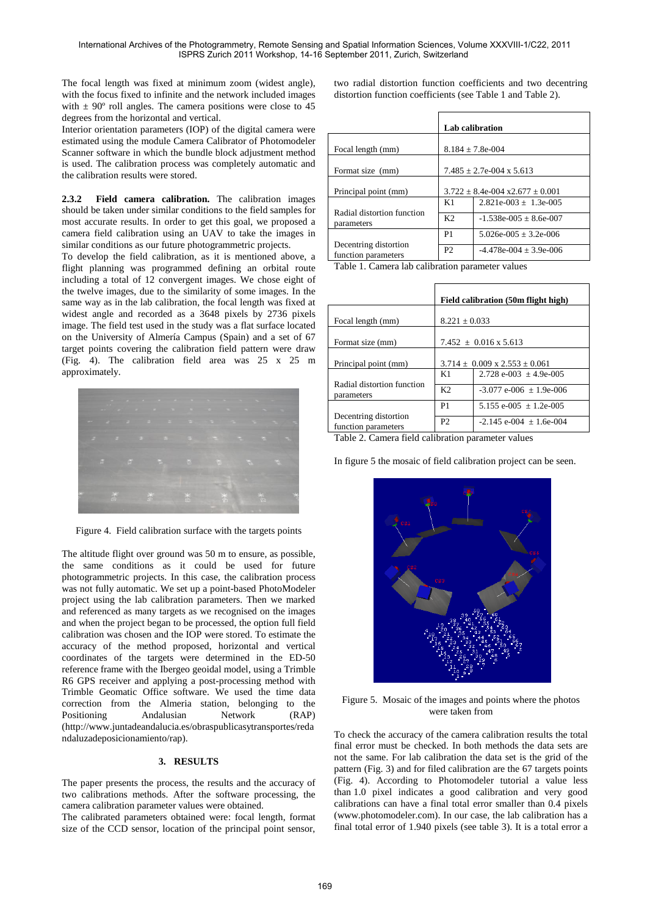The focal length was fixed at minimum zoom (widest angle), with the focus fixed to infinite and the network included images with  $\pm$  90 $^{\circ}$  roll angles. The camera positions were close to 45 degrees from the horizontal and vertical.

Interior orientation parameters (IOP) of the digital camera were estimated using the module Camera Calibrator of Photomodeler Scanner software in which the bundle block adjustment method is used. The calibration process was completely automatic and the calibration results were stored.

**2.3.2 Field camera calibration.** The calibration images should be taken under similar conditions to the field samples for most accurate results. In order to get this goal, we proposed a camera field calibration using an UAV to take the images in similar conditions as our future photogrammetric projects.

To develop the field calibration, as it is mentioned above, a flight planning was programmed defining an orbital route including a total of 12 convergent images. We chose eight of the twelve images, due to the similarity of some images. In the same way as in the lab calibration, the focal length was fixed at widest angle and recorded as a 3648 pixels by 2736 pixels image. The field test used in the study was a flat surface located on the University of Almería Campus (Spain) and a set of 67 target points covering the calibration field pattern were draw (Fig. 4). The calibration field area was 25 x 25 m approximately.



Figure 4. Field calibration surface with the targets points

The altitude flight over ground was 50 m to ensure, as possible, the same conditions as it could be used for future photogrammetric projects. In this case, the calibration process was not fully automatic. We set up a point-based PhotoModeler project using the lab calibration parameters. Then we marked and referenced as many targets as we recognised on the images and when the project began to be processed, the option full field calibration was chosen and the IOP were stored. To estimate the accuracy of the method proposed, horizontal and vertical coordinates of the targets were determined in the ED-50 reference frame with the Ibergeo geoidal model, using a Trimble R6 GPS receiver and applying a post-processing method with Trimble Geomatic Office software. We used the time data correction from the Almeria station, belonging to the Positioning Andalusian Network (RAP) (http://www.juntadeandalucia.es/obraspublicasytransportes/reda ndaluzadeposicionamiento/rap).

# 3. **RESULTS**

The paper presents the process, the results and the accuracy of two calibrations methods. After the software processing, the camera calibration parameter values were obtained.

The calibrated parameters obtained were: focal length, format size of the CCD sensor, location of the principal point sensor,

two radial distortion function coefficients and two decentring distortion function coefficients (see Table 1 and Table 2).

|                                              | <b>Lab calibration</b>                 |                            |  |
|----------------------------------------------|----------------------------------------|----------------------------|--|
| Focal length (mm)                            | $8.184 \pm 7.8$ e-004                  |                            |  |
| Format size (mm)                             | $7.485 + 2.7e-004 \times 5.613$        |                            |  |
| Principal point (mm)                         | $3.722 + 8.4e - 0.04x + 2.677 + 0.001$ |                            |  |
|                                              | K1                                     | $2.821e-003 + 1.3e-005$    |  |
| Radial distortion function<br>parameters     | K <sub>2</sub>                         | $-1.538e-005 \pm 8.6e-007$ |  |
|                                              | P <sub>1</sub>                         | $5.026e-005 + 3.2e-006$    |  |
| Decentring distortion<br>function parameters | P <sub>2</sub>                         | $-4.478e-004 \pm 3.9e-006$ |  |

Table 1. Camera lab calibration parameter values

|                                              | Field calibration (50m flight high)      |                               |
|----------------------------------------------|------------------------------------------|-------------------------------|
| Focal length (mm)                            | $8.221 \pm 0.033$                        |                               |
| Format size (mm)                             | $7.452 \pm 0.016 \times 5.613$           |                               |
| Principal point (mm)                         | $3.714 \pm 0.009 \times 2.553 \pm 0.061$ |                               |
|                                              | K1                                       | 2.728 e-003 $\pm$ 4.9e-005    |
| Radial distortion function<br>parameters     | K <sub>2</sub>                           | $-3.077$ e-006 $\pm$ 1.9e-006 |
|                                              | P <sub>1</sub>                           | 5.155 e-005 $\pm$ 1.2e-005    |
| Decentring distortion<br>function parameters | P <sub>2</sub>                           | $-2.145$ e-004 $+1.6$ e-004   |

Table 2. Camera field calibration parameter values

In figure 5 the mosaic of field calibration project can be seen.



Figure 5. Mosaic of the images and points where the photos were taken from

To check the accuracy of the camera calibration results the total final error must be checked. In both methods the data sets are not the same. For lab calibration the data set is the grid of the pattern (Fig. 3) and for filed calibration are the 67 targets points (Fig. 4). According to Photomodeler tutorial a value less than 1.0 pixel indicates a good calibration and very good calibrations can have a final total error smaller than 0.4 pixels (www.photomodeler.com). In our case, the lab calibration has a final total error of 1.940 pixels (see table 3). It is a total error a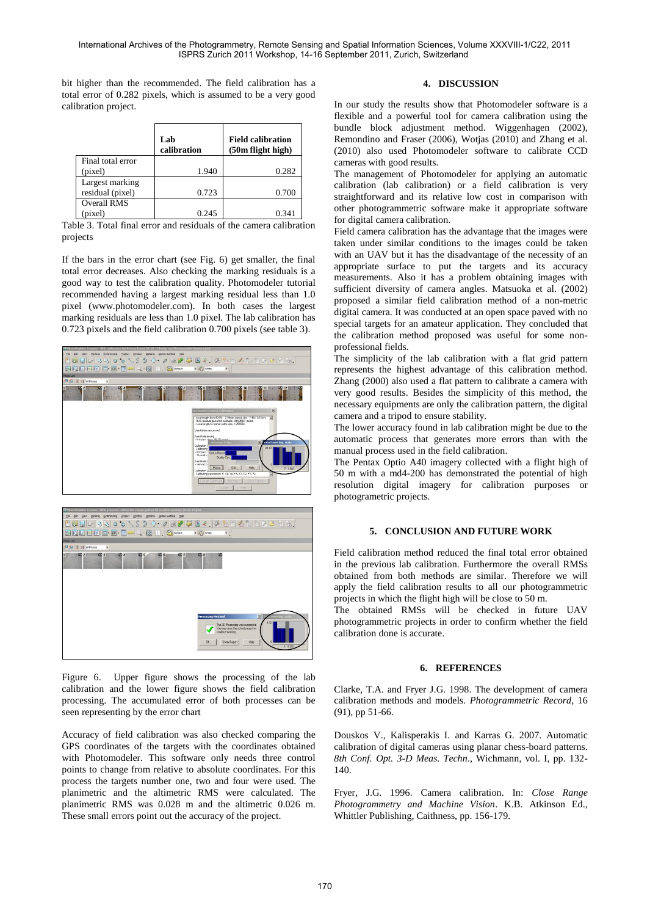bit higher than the recommended. The field calibration has a total error of 0.282 pixels, which is assumed to be a very good calibration project.

|                    | Lab<br>calibration | <b>Field calibration</b><br>(50m flight high) |
|--------------------|--------------------|-----------------------------------------------|
| Final total error  |                    |                                               |
| (pixel)            | 1.940              | 0.282                                         |
| Largest marking    |                    |                                               |
| residual (pixel)   | 0.723              | 0.700                                         |
| <b>Overall RMS</b> |                    |                                               |
| (pixel)            | 0.245              | 0.341                                         |

Table 3. Total final error and residuals of the camera calibration projects

If the bars in the error chart (see Fig. 6) get smaller, the final total error decreases. Also checking the marking residuals is a good way to test the calibration quality. Photomodeler tutorial recommended having a largest marking residual less than 1.0 pixel (www.photomodeler.com). In both cases the largest marking residuals are less than 1.0 pixel. The lab calibration has 0.723 pixels and the field calibration 0.700 pixels (see table 3).





Figure 6. Upper figure shows the processing of the lab calibration and the lower figure shows the field calibration processing. The accumulated error of both processes can be seen representing by the error chart

Accuracy of field calibration was also checked comparing the GPS coordinates of the targets with the coordinates obtained with Photomodeler. This software only needs three control points to change from relative to absolute coordinates. For this process the targets number one, two and four were used. The planimetric and the altimetric RMS were calculated. The planimetric RMS was 0.028 m and the altimetric 0.026 m. These small errors point out the accuracy of the project.

# **4. DISCUSSION**

In our study the results show that Photomodeler software is a flexible and a powerful tool for camera calibration using the bundle block adjustment method. Wiggenhagen (2002), Remondino and Fraser (2006), Wotjas (2010) and Zhang et al. (2010) also used Photomodeler software to calibrate CCD cameras with good results.

The management of Photomodeler for applying an automatic calibration (lab calibration) or a field calibration is very straightforward and its relative low cost in comparison with other photogrammetric software make it appropriate software for digital camera calibration.

Field camera calibration has the advantage that the images were taken under similar conditions to the images could be taken with an UAV but it has the disadvantage of the necessity of an appropriate surface to put the targets and its accuracy measurements. Also it has a problem obtaining images with sufficient diversity of camera angles. Matsuoka et al. (2002) proposed a similar field calibration method of a non-metric digital camera. It was conducted at an open space paved with no special targets for an amateur application. They concluded that the calibration method proposed was useful for some nonprofessional fields.

The simplicity of the lab calibration with a flat grid pattern represents the highest advantage of this calibration method. Zhang (2000) also used a flat pattern to calibrate a camera with very good results. Besides the simplicity of this method, the necessary equipments are only the calibration pattern, the digital camera and a tripod to ensure stability.

The lower accuracy found in lab calibration might be due to the automatic process that generates more errors than with the manual process used in the field calibration.

The Pentax Optio A40 imagery collected with a flight high of 50 m with a md4-200 has demonstrated the potential of high resolution digital imagery for calibration purposes or photogrametric projects.

# **5. CONCLUSION AND FUTURE WORK**

Field calibration method reduced the final total error obtained in the previous lab calibration. Furthermore the overall RMSs obtained from both methods are similar. Therefore we will apply the field calibration results to all our photogrammetric projects in which the flight high will be close to 50 m.

The obtained RMSs will be checked in future UAV photogrammetric projects in order to confirm whether the field calibration done is accurate.

#### **6. REFERENCES**

Clarke, T.A. and Fryer J.G. 1998. The development of camera calibration methods and models. *Photogrammetric Record*, 16 (91), pp 51-66.

Douskos V., Kalisperakis I. and Karras G. 2007. Automatic calibration of digital cameras using planar chess-board patterns. *8th Conf. Opt. 3-D Meas. Techn*., Wichmann, vol. I, pp. 132- 140.

Fryer, J.G. 1996. Camera calibration. In: *Close Range Photogrammetry and Machine Vision*. K.B. Atkinson Ed., Whittler Publishing, Caithness, pp. 156-179.